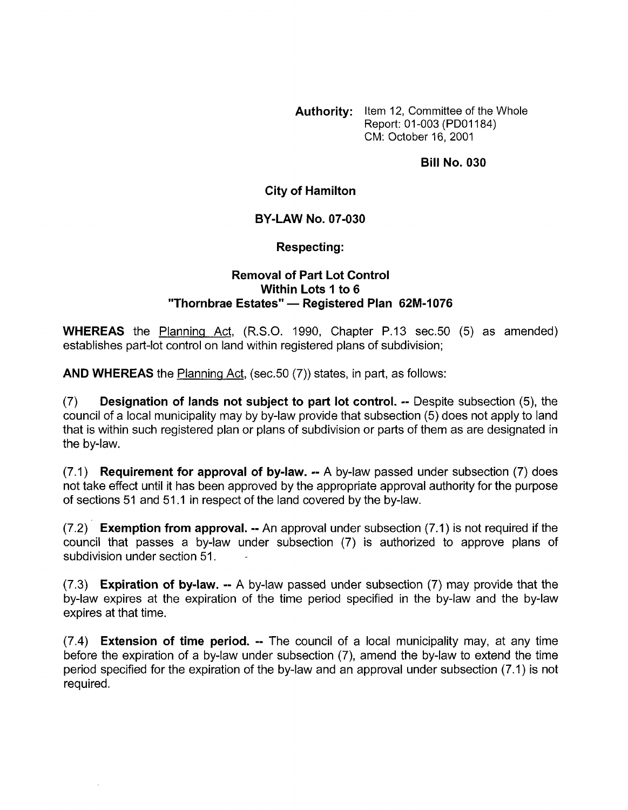**Authority:** Item 12, Committee of the Whole Report: 01-003 (PDOI 184) CM: October 16, 2001

### **Bill No. 030**

## **City of Hamilton**

### **BY-LAW NO. 07-030**

### **Respecting:**

# **Removal of Part Lot Control Within Lots** I **to 6 "Thornbrae Estates"** - **Registered Plan 62M-I 076**

**WHEREAS** the Planning Act, (R.S.O. 1990, Chapter P.13 sec.50 (5) as amended) establishes part-lot control on land within registered plans of subdivision;

**AND WHEREAS** the Planning Act, (sec.50 (7)) states, in part, as follows:

(7) **Designation of lands not subject to part lot control.** -- Despite subsection *(5),* the council of a local municipality may by by-law provide that subsection (5) does not apply to land that is within such registered plan or plans of subdivision or parts of them as are designated in the by-law.

(7.1) **Requirement for approval of by-law.** -- A by-law passed under subsection (7) does not take effect until it has been approved by the appropriate approval authority for the purpose of sections 51 and 51.1 in respect of the land covered by the by-law.

(7.2) **Exemption from approval.** -- An approval under subsection (7.1) is not required if the council that passes a by-law under subsection (7) is authorized to approve plans of subdivision under section 51.

(7.3) **Expiration of by-law.** -- A by-law passed under subsection (7) may provide that the by-law expires at the expiration of the time period specified in the by-law and the by-law expires at that time.

(7.4) **Extension of time period.** -- The council of a local municipality may, at any time before the expiration of a by-law under subsection (7), amend the by-law to extend the time period specified for the expiration of the by-law and an approval under subsection (7.1) is not required.